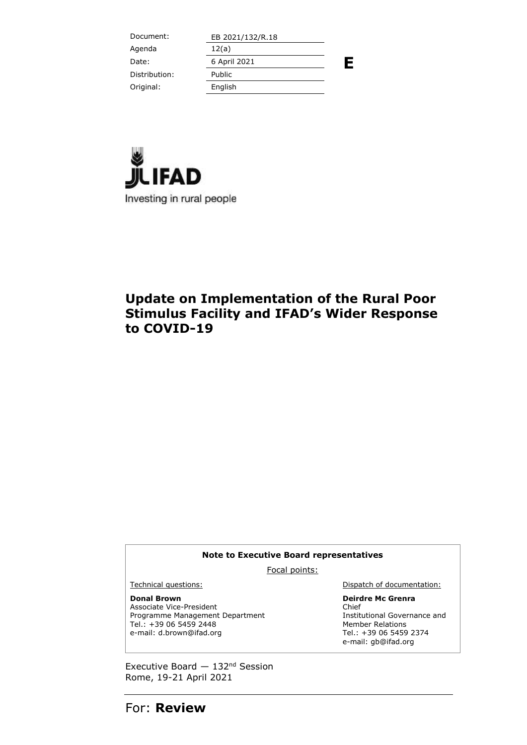Document: EB 2021/132/R.18 **E** Agenda 12(a) Date: 6 April 2021 Distribution: Public Original: English



## **Update on Implementation of the Rural Poor Stimulus Facility and IFAD's Wider Response to COVID-19**

#### **Note to Executive Board representatives**

Focal points:

**Donal Brown**

Associate Vice-President Programme Management Department Tel.: +39 06 5459 2448 e-mail: d.brown@ifad.org

Technical questions: **Dispatch of documentation:** 

**Deirdre Mc Grenra** Chief Institutional Governance and Member Relations Tel.: +39 06 5459 2374 e-mail: gb@ifad.org

Executive Board  $-132<sup>nd</sup>$  Session Rome, 19-21 April 2021

For: **Review**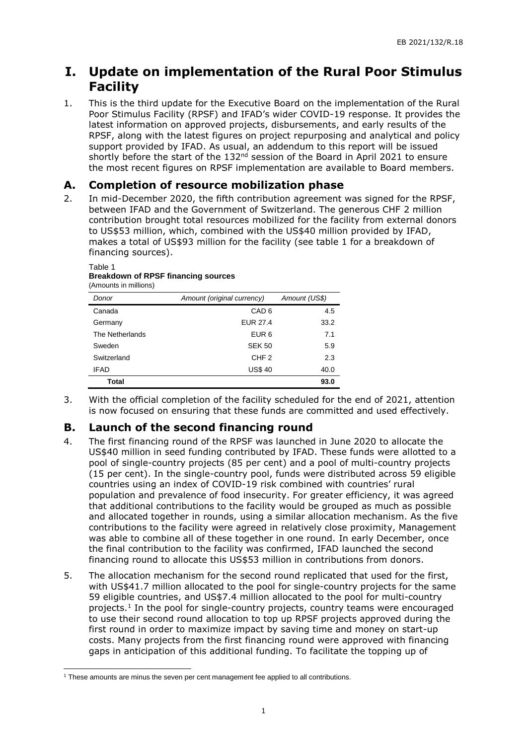## **I. Update on implementation of the Rural Poor Stimulus Facility**

1. This is the third update for the Executive Board on the implementation of the Rural Poor Stimulus Facility (RPSF) and IFAD's wider COVID-19 response. It provides the latest information on approved projects, disbursements, and early results of the RPSF, along with the latest figures on project repurposing and analytical and policy support provided by IFAD. As usual, an addendum to this report will be issued shortly before the start of the 132<sup>nd</sup> session of the Board in April 2021 to ensure the most recent figures on RPSF implementation are available to Board members.

## **A. Completion of resource mobilization phase**

2. In mid-December 2020, the fifth contribution agreement was signed for the RPSF, between IFAD and the Government of Switzerland. The generous CHF 2 million contribution brought total resources mobilized for the facility from external donors to US\$53 million, which, combined with the US\$40 million provided by IFAD, makes a total of US\$93 million for the facility (see table 1 for a breakdown of financing sources).

#### Table 1 **Breakdown of RPSF financing sources** (Amounts in millions)

| Donor           | Amount (original currency) | Amount (US\$) |
|-----------------|----------------------------|---------------|
| Canada          | CAD <sub>6</sub>           | 4.5           |
| Germany         | EUR 27.4                   | 33.2          |
| The Netherlands | EUR <sub>6</sub>           | 7.1           |
| Sweden          | <b>SEK 50</b>              | 5.9           |
| Switzerland     | CHF <sub>2</sub>           | 2.3           |
| <b>IFAD</b>     | <b>US\$40</b>              | 40.0          |
| Total           |                            | 93.0          |

3. With the official completion of the facility scheduled for the end of 2021, attention is now focused on ensuring that these funds are committed and used effectively.

## **B. Launch of the second financing round**

- 4. The first financing round of the RPSF was launched in June 2020 to allocate the US\$40 million in seed funding contributed by IFAD. These funds were allotted to a pool of single-country projects (85 per cent) and a pool of multi-country projects (15 per cent). In the single-country pool, funds were distributed across 59 eligible countries using an index of COVID-19 risk combined with countries' rural population and prevalence of food insecurity. For greater efficiency, it was agreed that additional contributions to the facility would be grouped as much as possible and allocated together in rounds, using a similar allocation mechanism. As the five contributions to the facility were agreed in relatively close proximity, Management was able to combine all of these together in one round. In early December, once the final contribution to the facility was confirmed, IFAD launched the second financing round to allocate this US\$53 million in contributions from donors.
- 5. The allocation mechanism for the second round replicated that used for the first, with US\$41.7 million allocated to the pool for single-country projects for the same 59 eligible countries, and US\$7.4 million allocated to the pool for multi-country projects.<sup>1</sup> In the pool for single-country projects, country teams were encouraged to use their second round allocation to top up RPSF projects approved during the first round in order to maximize impact by saving time and money on start-up costs. Many projects from the first financing round were approved with financing gaps in anticipation of this additional funding. To facilitate the topping up of

-

<sup>&</sup>lt;sup>1</sup> These amounts are minus the seven per cent management fee applied to all contributions.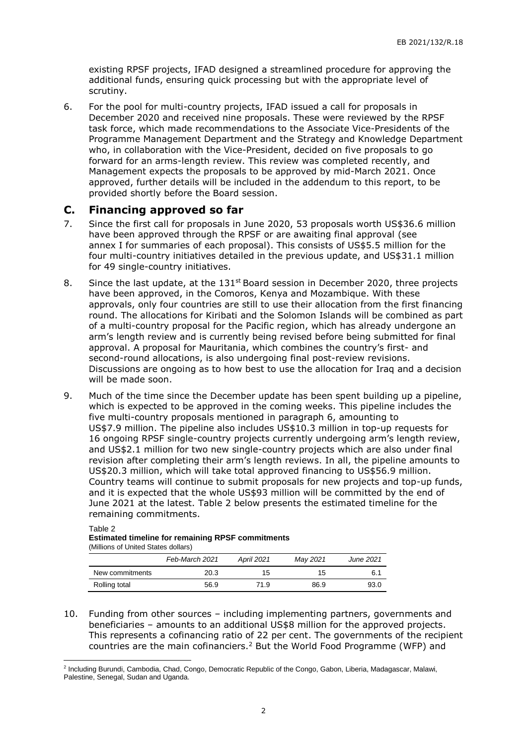existing RPSF projects, IFAD designed a streamlined procedure for approving the additional funds, ensuring quick processing but with the appropriate level of scrutiny.

6. For the pool for multi-country projects, IFAD issued a call for proposals in December 2020 and received nine proposals. These were reviewed by the RPSF task force, which made recommendations to the Associate Vice-Presidents of the Programme Management Department and the Strategy and Knowledge Department who, in collaboration with the Vice-President, decided on five proposals to go forward for an arms-length review. This review was completed recently, and Management expects the proposals to be approved by mid-March 2021. Once approved, further details will be included in the addendum to this report, to be provided shortly before the Board session.

### **C. Financing approved so far**

Table 2

- 7. Since the first call for proposals in June 2020, 53 proposals worth US\$36.6 million have been approved through the RPSF or are awaiting final approval (see annex I for summaries of each proposal). This consists of US\$5.5 million for the four multi-country initiatives detailed in the previous update, and US\$31.1 million for 49 single-country initiatives.
- 8. Since the last update, at the  $131^{st}$  Board session in December 2020, three projects have been approved, in the Comoros, Kenya and Mozambique. With these approvals, only four countries are still to use their allocation from the first financing round. The allocations for Kiribati and the Solomon Islands will be combined as part of a multi-country proposal for the Pacific region, which has already undergone an arm's length review and is currently being revised before being submitted for final approval. A proposal for Mauritania, which combines the country's first- and second-round allocations, is also undergoing final post-review revisions. Discussions are ongoing as to how best to use the allocation for Iraq and a decision will be made soon.
- 9. Much of the time since the December update has been spent building up a pipeline, which is expected to be approved in the coming weeks. This pipeline includes the five multi-country proposals mentioned in paragraph 6, amounting to US\$7.9 million. The pipeline also includes US\$10.3 million in top-up requests for 16 ongoing RPSF single-country projects currently undergoing arm's length review, and US\$2.1 million for two new single-country projects which are also under final revision after completing their arm's length reviews. In all, the pipeline amounts to US\$20.3 million, which will take total approved financing to US\$56.9 million. Country teams will continue to submit proposals for new projects and top-up funds, and it is expected that the whole US\$93 million will be committed by the end of June 2021 at the latest. Table 2 below presents the estimated timeline for the remaining commitments.

| <b>Estimated timeline for remaining RPSF commitments</b><br>(Millions of United States dollars) |                |            |          |           |
|-------------------------------------------------------------------------------------------------|----------------|------------|----------|-----------|
|                                                                                                 | Feb-March 2021 | April 2021 | May 2021 | June 2021 |
| New commitments                                                                                 | 20.3           | 15         | 15       | 6.1       |
| Rolling total                                                                                   | 56.9           | 71.9       | 86.9     | 93.0      |

10. Funding from other sources – including implementing partners, governments and beneficiaries – amounts to an additional US\$8 million for the approved projects. This represents a cofinancing ratio of 22 per cent. The governments of the recipient countries are the main cofinanciers.<sup>2</sup> But the World Food Programme (WFP) and

<sup>-</sup><sup>2</sup> Including Burundi, Cambodia, Chad, Congo, Democratic Republic of the Congo, Gabon, Liberia, Madagascar, Malawi, Palestine, Senegal, Sudan and Uganda.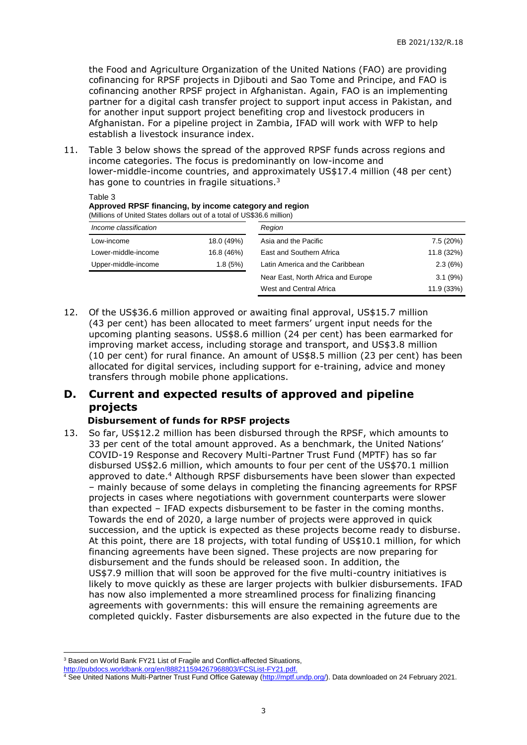the Food and Agriculture Organization of the United Nations (FAO) are providing cofinancing for RPSF projects in Djibouti and Sao Tome and Principe, and FAO is cofinancing another RPSF project in Afghanistan. Again, FAO is an implementing partner for a digital cash transfer project to support input access in Pakistan, and for another input support project benefiting crop and livestock producers in Afghanistan. For a pipeline project in Zambia, IFAD will work with WFP to help establish a livestock insurance index.

11. Table 3 below shows the spread of the approved RPSF funds across regions and income categories. The focus is predominantly on low-income and lower-middle-income countries, and approximately US\$17.4 million (48 per cent) has gone to countries in fragile situations.<sup>3</sup>

| Approved RPSF financing, by income category and region<br>(Millions of United States dollars out of a total of US\$36.6 million) |            |                                    |            |
|----------------------------------------------------------------------------------------------------------------------------------|------------|------------------------------------|------------|
| Income classification                                                                                                            |            | Region                             |            |
| Low-income                                                                                                                       | 18.0 (49%) | Asia and the Pacific               | 7.5 (20%)  |
| Lower-middle-income                                                                                                              | 16.8 (46%) | East and Southern Africa           | 11.8 (32%) |
| Upper-middle-income                                                                                                              | 1.8(5%)    | Latin America and the Caribbean    | 2.3(6%)    |
|                                                                                                                                  |            | Near East, North Africa and Europe | 3.1(9%)    |
|                                                                                                                                  |            | West and Central Africa            | 11.9 (33%) |

12. Of the US\$36.6 million approved or awaiting final approval, US\$15.7 million (43 per cent) has been allocated to meet farmers' urgent input needs for the upcoming planting seasons. US\$8.6 million (24 per cent) has been earmarked for improving market access, including storage and transport, and US\$3.8 million (10 per cent) for rural finance. An amount of US\$8.5 million (23 per cent) has been allocated for digital services, including support for e-training, advice and money transfers through mobile phone applications.

## **D. Current and expected results of approved and pipeline projects**

### **Disbursement of funds for RPSF projects**

Table 3

13. So far, US\$12.2 million has been disbursed through the RPSF, which amounts to 33 per cent of the total amount approved. As a benchmark, the United Nations' COVID-19 Response and Recovery Multi-Partner Trust Fund (MPTF) has so far disbursed US\$2.6 million, which amounts to four per cent of the US\$70.1 million approved to date. <sup>4</sup> Although RPSF disbursements have been slower than expected – mainly because of some delays in completing the financing agreements for RPSF projects in cases where negotiations with government counterparts were slower than expected – IFAD expects disbursement to be faster in the coming months. Towards the end of 2020, a large number of projects were approved in quick succession, and the uptick is expected as these projects become ready to disburse. At this point, there are 18 projects, with total funding of US\$10.1 million, for which financing agreements have been signed. These projects are now preparing for disbursement and the funds should be released soon. In addition, the US\$7.9 million that will soon be approved for the five multi-country initiatives is likely to move quickly as these are larger projects with bulkier disbursements. IFAD has now also implemented a more streamlined process for finalizing financing agreements with governments: this will ensure the remaining agreements are completed quickly. Faster disbursements are also expected in the future due to the

<sup>-</sup><sup>3</sup> Based on World Bank FY21 List of Fragile and Conflict-affected Situations,

[http://pubdocs.worldbank.org/en/888211594267968803/FCSList-FY21.pdf.](http://pubdocs.worldbank.org/en/888211594267968803/FCSList-FY21.pdf)

<sup>4</sup> See United Nations Multi-Partner Trust Fund Office Gateway [\(http://mptf.undp.org/\)](http://mptf.undp.org/). Data downloaded on 24 February 2021.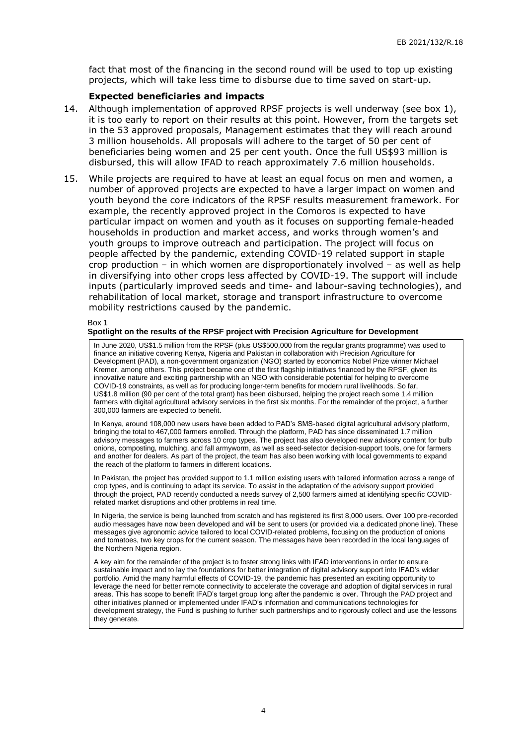fact that most of the financing in the second round will be used to top up existing projects, which will take less time to disburse due to time saved on start-up.

#### **Expected beneficiaries and impacts**

- 14. Although implementation of approved RPSF projects is well underway (see box 1), it is too early to report on their results at this point. However, from the targets set in the 53 approved proposals, Management estimates that they will reach around 3 million households. All proposals will adhere to the target of 50 per cent of beneficiaries being women and 25 per cent youth. Once the full US\$93 million is disbursed, this will allow IFAD to reach approximately 7.6 million households.
- 15. While projects are required to have at least an equal focus on men and women, a number of approved projects are expected to have a larger impact on women and youth beyond the core indicators of the RPSF results measurement framework. For example, the recently approved project in the Comoros is expected to have particular impact on women and youth as it focuses on supporting female-headed households in production and market access, and works through women's and youth groups to improve outreach and participation. The project will focus on people affected by the pandemic, extending COVID-19 related support in staple crop production – in which women are disproportionately involved – as well as help in diversifying into other crops less affected by COVID-19. The support will include inputs (particularly improved seeds and time- and labour-saving technologies), and rehabilitation of local market, storage and transport infrastructure to overcome mobility restrictions caused by the pandemic.

Box 1

#### **Spotlight on the results of the RPSF project with Precision Agriculture for Development**

In June 2020, US\$1.5 million from the RPSF (plus US\$500,000 from the regular grants programme) was used to finance an initiative covering Kenya, Nigeria and Pakistan in collaboration with Precision Agriculture for Development (PAD), a non-government organization (NGO) started by economics Nobel Prize winner Michael Kremer, among others. This project became one of the first flagship initiatives financed by the RPSF, given its innovative nature and exciting partnership with an NGO with considerable potential for helping to overcome COVID-19 constraints, as well as for producing longer-term benefits for modern rural livelihoods. So far, US\$1.8 million (90 per cent of the total grant) has been disbursed, helping the project reach some 1.4 million farmers with digital agricultural advisory services in the first six months. For the remainder of the project, a further 300,000 farmers are expected to benefit.

In Kenya, around 108,000 new users have been added to PAD's SMS-based digital agricultural advisory platform, bringing the total to 467,000 farmers enrolled. Through the platform, PAD has since disseminated 1.7 million advisory messages to farmers across 10 crop types. The project has also developed new advisory content for bulb onions, composting, mulching, and fall armyworm, as well as seed-selector decision-support tools, one for farmers and another for dealers. As part of the project, the team has also been working with local governments to expand the reach of the platform to farmers in different locations.

In Pakistan, the project has provided support to 1.1 million existing users with tailored information across a range of crop types, and is continuing to adapt its service. To assist in the adaptation of the advisory support provided through the project, PAD recently conducted a needs survey of 2,500 farmers aimed at identifying specific COVIDrelated market disruptions and other problems in real time.

In Nigeria, the service is being launched from scratch and has registered its first 8,000 users. Over 100 pre-recorded audio messages have now been developed and will be sent to users (or provided via a dedicated phone line). These messages aive agronomic advice tailored to local COVID-related problems, focusing on the production of onions and tomatoes, two key crops for the current season. The messages have been recorded in the local languages of the Northern Nigeria region.

A key aim for the remainder of the project is to foster strong links with IFAD interventions in order to ensure sustainable impact and to lay the foundations for better integration of digital advisory support into IFAD's wider portfolio. Amid the many harmful effects of COVID-19, the pandemic has presented an exciting opportunity to leverage the need for better remote connectivity to accelerate the coverage and adoption of digital services in rural areas. This has scope to benefit IFAD's target group long after the pandemic is over. Through the PAD project and other initiatives planned or implemented under IFAD's information and communications technologies for development strategy, the Fund is pushing to further such partnerships and to rigorously collect and use the lessons they generate.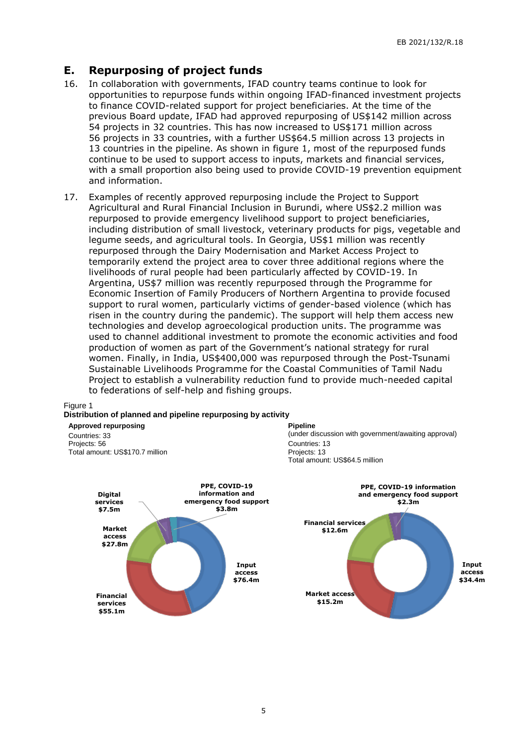## **E. Repurposing of project funds**

- 16. In collaboration with governments, IFAD country teams continue to look for opportunities to repurpose funds within ongoing IFAD-financed investment projects to finance COVID-related support for project beneficiaries. At the time of the previous Board update, IFAD had approved repurposing of US\$142 million across 54 projects in 32 countries. This has now increased to US\$171 million across 56 projects in 33 countries, with a further US\$64.5 million across 13 projects in 13 countries in the pipeline. As shown in figure 1, most of the repurposed funds continue to be used to support access to inputs, markets and financial services, with a small proportion also being used to provide COVID-19 prevention equipment and information.
- 17. Examples of recently approved repurposing include the Project to Support Agricultural and Rural Financial Inclusion in Burundi, where US\$2.2 million was repurposed to provide emergency livelihood support to project beneficiaries, including distribution of small livestock, veterinary products for pigs, vegetable and legume seeds, and agricultural tools. In Georgia, US\$1 million was recently repurposed through the Dairy Modernisation and Market Access Project to temporarily extend the project area to cover three additional regions where the livelihoods of rural people had been particularly affected by COVID-19. In Argentina, US\$7 million was recently repurposed through the Programme for Economic Insertion of Family Producers of Northern Argentina to provide focused support to rural women, particularly victims of gender-based violence (which has risen in the country during the pandemic). The support will help them access new technologies and develop agroecological production units. The programme was used to channel additional investment to promote the economic activities and food production of women as part of the Government's national strategy for rural women. Finally, in India, US\$400,000 was repurposed through the Post-Tsunami Sustainable Livelihoods Programme for the Coastal Communities of Tamil Nadu Project to establish a vulnerability reduction fund to provide much-needed capital to federations of self-help and fishing groups.

#### Figure 1

#### **Distribution of planned and pipeline repurposing by activity**

**Approved repurposing** Countries: 33 Projects: 56 Total amount: US\$170.7 million



#### **Pipeline**

(under discussion with government/awaiting approval) Countries: 13 Projects: 13 Total amount: US\$64.5 million

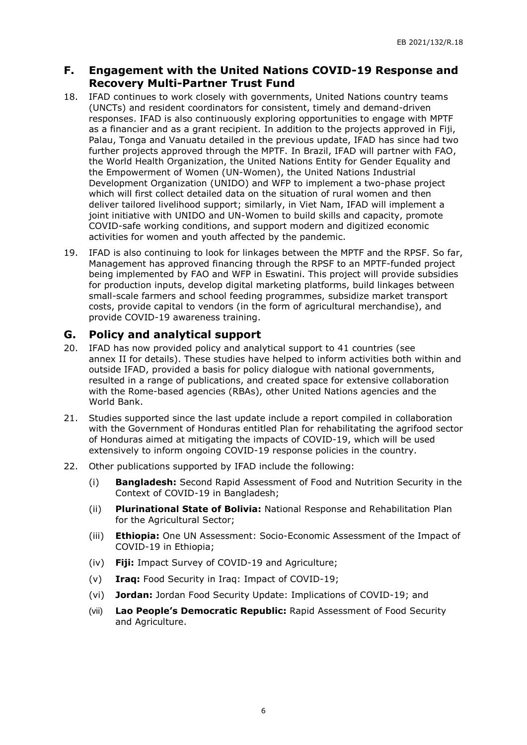## **F. Engagement with the United Nations COVID-19 Response and Recovery Multi-Partner Trust Fund**

- 18. IFAD continues to work closely with governments, United Nations country teams (UNCTs) and resident coordinators for consistent, timely and demand-driven responses. IFAD is also continuously exploring opportunities to engage with MPTF as a financier and as a grant recipient. In addition to the projects approved in Fiji, Palau, Tonga and Vanuatu detailed in the previous update, IFAD has since had two further projects approved through the MPTF. In Brazil, IFAD will partner with FAO, the World Health Organization, the United Nations Entity for Gender Equality and the Empowerment of Women (UN-Women), the United Nations Industrial Development Organization (UNIDO) and WFP to implement a two-phase project which will first collect detailed data on the situation of rural women and then deliver tailored livelihood support; similarly, in Viet Nam, IFAD will implement a joint initiative with UNIDO and UN-Women to build skills and capacity, promote COVID-safe working conditions, and support modern and digitized economic activities for women and youth affected by the pandemic.
- 19. IFAD is also continuing to look for linkages between the MPTF and the RPSF. So far, Management has approved financing through the RPSF to an MPTF-funded project being implemented by FAO and WFP in Eswatini. This project will provide subsidies for production inputs, develop digital marketing platforms, build linkages between small-scale farmers and school feeding programmes, subsidize market transport costs, provide capital to vendors (in the form of agricultural merchandise), and provide COVID-19 awareness training.

## **G. Policy and analytical support**

- 20. IFAD has now provided policy and analytical support to 41 countries (see annex II for details). These studies have helped to inform activities both within and outside IFAD, provided a basis for policy dialogue with national governments, resulted in a range of publications, and created space for extensive collaboration with the Rome-based agencies (RBAs), other United Nations agencies and the World Bank.
- 21. Studies supported since the last update include a report compiled in collaboration with the Government of Honduras entitled Plan for rehabilitating the agrifood sector of Honduras aimed at mitigating the impacts of COVID-19, which will be used extensively to inform ongoing COVID-19 response policies in the country.
- 22. Other publications supported by IFAD include the following:
	- (i) **Bangladesh:** Second Rapid Assessment of Food and Nutrition Security in the Context of COVID-19 in Bangladesh;
	- (ii) **Plurinational State of Bolivia:** National Response and Rehabilitation Plan for the Agricultural Sector;
	- (iii) **Ethiopia:** One UN Assessment: Socio-Economic Assessment of the Impact of COVID-19 in Ethiopia;
	- (iv) **Fiji:** Impact Survey of COVID-19 and Agriculture;
	- (v) **Iraq:** Food Security in Iraq: Impact of COVID-19;
	- (vi) **Jordan:** Jordan Food Security Update: Implications of COVID-19; and
	- (vii) **Lao People's Democratic Republic:** Rapid Assessment of Food Security and Agriculture.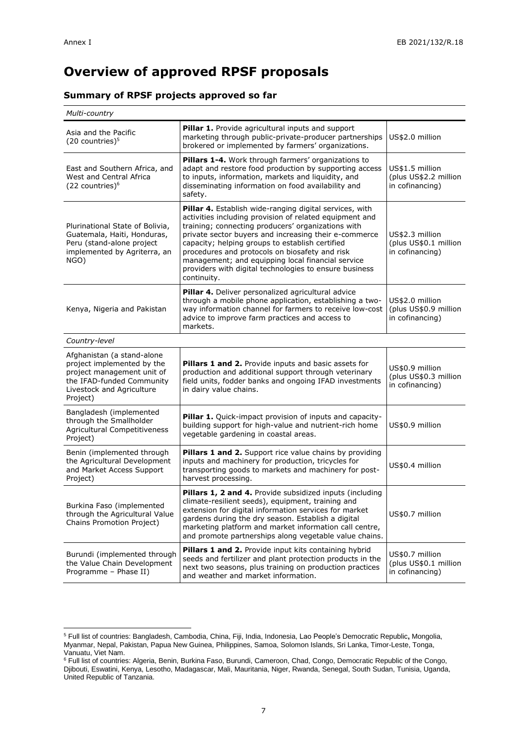## **Overview of approved RPSF proposals**

### **Summary of RPSF projects approved so far**

| Multi-country                                                                                                                                                |                                                                                                                                                                                                                                                                                                                                                                                                                                                                      |                                                             |
|--------------------------------------------------------------------------------------------------------------------------------------------------------------|----------------------------------------------------------------------------------------------------------------------------------------------------------------------------------------------------------------------------------------------------------------------------------------------------------------------------------------------------------------------------------------------------------------------------------------------------------------------|-------------------------------------------------------------|
| Asia and the Pacific<br>$(20$ countries) <sup>5</sup>                                                                                                        | Pillar 1. Provide agricultural inputs and support<br>marketing through public-private-producer partnerships<br>brokered or implemented by farmers' organizations.                                                                                                                                                                                                                                                                                                    | US\$2.0 million                                             |
| East and Southern Africa, and<br>West and Central Africa<br>$(22$ countries) <sup>6</sup>                                                                    | Pillars 1-4. Work through farmers' organizations to<br>adapt and restore food production by supporting access<br>to inputs, information, markets and liquidity, and<br>disseminating information on food availability and<br>safety.                                                                                                                                                                                                                                 | US\$1.5 million<br>(plus US\$2.2 million<br>in cofinancing) |
| Plurinational State of Bolivia,<br>Guatemala, Haiti, Honduras,<br>Peru (stand-alone project<br>implemented by Agriterra, an<br>NGO)                          | Pillar 4. Establish wide-ranging digital services, with<br>activities including provision of related equipment and<br>training; connecting producers' organizations with<br>private sector buyers and increasing their e-commerce<br>capacity; helping groups to establish certified<br>procedures and protocols on biosafety and risk<br>management; and equipping local financial service<br>providers with digital technologies to ensure business<br>continuity. | US\$2.3 million<br>(plus US\$0.1 million<br>in cofinancing) |
| Kenya, Nigeria and Pakistan                                                                                                                                  | Pillar 4. Deliver personalized agricultural advice<br>through a mobile phone application, establishing a two-<br>way information channel for farmers to receive low-cost<br>advice to improve farm practices and access to<br>markets.                                                                                                                                                                                                                               | US\$2.0 million<br>(plus US\$0.9 million<br>in cofinancing) |
| Country-level                                                                                                                                                |                                                                                                                                                                                                                                                                                                                                                                                                                                                                      |                                                             |
| Afghanistan (a stand-alone<br>project implemented by the<br>project management unit of<br>the IFAD-funded Community<br>Livestock and Agriculture<br>Project) | <b>Pillars 1 and 2.</b> Provide inputs and basic assets for<br>production and additional support through veterinary<br>field units, fodder banks and ongoing IFAD investments<br>in dairy value chains.                                                                                                                                                                                                                                                              | US\$0.9 million<br>(plus US\$0.3 million<br>in cofinancing) |
| Bangladesh (implemented<br>through the Smallholder<br>Agricultural Competitiveness<br>Project)                                                               | Pillar 1. Quick-impact provision of inputs and capacity-<br>building support for high-value and nutrient-rich home<br>vegetable gardening in coastal areas.                                                                                                                                                                                                                                                                                                          | US\$0.9 million                                             |
| Benin (implemented through<br>the Agricultural Development<br>and Market Access Support<br>Project)                                                          | <b>Pillars 1 and 2.</b> Support rice value chains by providing<br>inputs and machinery for production, tricycles for<br>transporting goods to markets and machinery for post-<br>harvest processing.                                                                                                                                                                                                                                                                 | US\$0.4 million                                             |
| Burkina Faso (implemented<br>through the Agricultural Value<br>Chains Promotion Project)                                                                     | Pillars 1, 2 and 4. Provide subsidized inputs (including<br>climate-resilient seeds), equipment, training and<br>extension for digital information services for market<br>gardens during the dry season. Establish a digital<br>marketing platform and market information call centre,<br>and promote partnerships along vegetable value chains.                                                                                                                     | US\$0.7 million                                             |
| Burundi (implemented through<br>the Value Chain Development<br>Programme - Phase II)                                                                         | Pillars 1 and 2. Provide input kits containing hybrid<br>seeds and fertilizer and plant protection products in the<br>next two seasons, plus training on production practices<br>and weather and market information.                                                                                                                                                                                                                                                 | US\$0.7 million<br>(plus US\$0.1 million<br>in cofinancing) |

<sup>-</sup><sup>5</sup> Full list of countries: Bangladesh, Cambodia, China, Fiji, India, Indonesia, Lao People's Democratic Republic**,** Mongolia, Myanmar, Nepal, Pakistan, Papua New Guinea, Philippines, Samoa, Solomon Islands, Sri Lanka, Timor-Leste, Tonga, Vanuatu, Viet Nam.

<sup>&</sup>lt;sup>6</sup> Full list of countries: Algeria, Benin, Burkina Faso, Burundi, Cameroon, Chad, Congo, Democratic Republic of the Congo, Djibouti, Eswatini, Kenya, Lesotho, Madagascar, Mali, Mauritania, Niger, Rwanda, Senegal, South Sudan, Tunisia, Uganda, United Republic of Tanzania.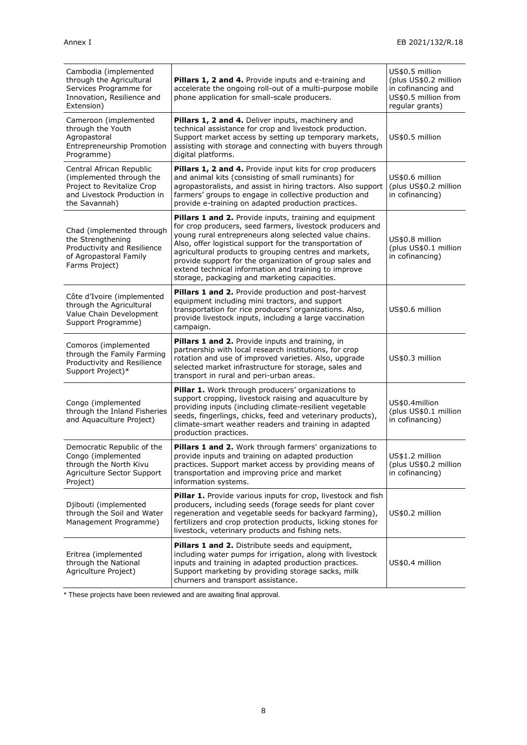| Cambodia (implemented<br>through the Agricultural<br>Services Programme for<br>Innovation, Resilience and<br>Extension)            | Pillars 1, 2 and 4. Provide inputs and e-training and<br>accelerate the ongoing roll-out of a multi-purpose mobile<br>phone application for small-scale producers.                                                                                                                                                                                                                                                                                                      | US\$0.5 million<br>(plus US\$0.2 million<br>in cofinancing and<br>US\$0.5 million from<br>regular grants) |
|------------------------------------------------------------------------------------------------------------------------------------|-------------------------------------------------------------------------------------------------------------------------------------------------------------------------------------------------------------------------------------------------------------------------------------------------------------------------------------------------------------------------------------------------------------------------------------------------------------------------|-----------------------------------------------------------------------------------------------------------|
| Cameroon (implemented<br>through the Youth<br>Agropastoral<br>Entrepreneurship Promotion<br>Programme)                             | Pillars 1, 2 and 4. Deliver inputs, machinery and<br>technical assistance for crop and livestock production.<br>Support market access by setting up temporary markets,<br>assisting with storage and connecting with buyers through<br>digital platforms.                                                                                                                                                                                                               | US\$0.5 million                                                                                           |
| Central African Republic<br>(implemented through the<br>Project to Revitalize Crop<br>and Livestock Production in<br>the Savannah) | Pillars 1, 2 and 4. Provide input kits for crop producers<br>and animal kits (consisting of small ruminants) for<br>agropastoralists, and assist in hiring tractors. Also support<br>farmers' groups to engage in collective production and<br>provide e-training on adapted production practices.                                                                                                                                                                      | US\$0.6 million<br>(plus US\$0.2 million<br>in cofinancing)                                               |
| Chad (implemented through<br>the Strengthening<br>Productivity and Resilience<br>of Agropastoral Family<br>Farms Project)          | Pillars 1 and 2. Provide inputs, training and equipment<br>for crop producers, seed farmers, livestock producers and<br>young rural entrepreneurs along selected value chains.<br>Also, offer logistical support for the transportation of<br>agricultural products to grouping centres and markets,<br>provide support for the organization of group sales and<br>extend technical information and training to improve<br>storage, packaging and marketing capacities. | US\$0.8 million<br>(plus US\$0.1 million<br>in cofinancing)                                               |
| Côte d'Ivoire (implemented<br>through the Agricultural<br>Value Chain Development<br>Support Programme)                            | Pillars 1 and 2. Provide production and post-harvest<br>equipment including mini tractors, and support<br>transportation for rice producers' organizations. Also,<br>provide livestock inputs, including a large vaccination<br>campaign.                                                                                                                                                                                                                               | US\$0.6 million                                                                                           |
| Comoros (implemented<br>through the Family Farming<br>Productivity and Resilience<br>Support Project)*                             | Pillars 1 and 2. Provide inputs and training, in<br>partnership with local research institutions, for crop<br>rotation and use of improved varieties. Also, upgrade<br>selected market infrastructure for storage, sales and<br>transport in rural and peri-urban areas.                                                                                                                                                                                                | US\$0.3 million                                                                                           |
| Congo (implemented<br>through the Inland Fisheries<br>and Aquaculture Project)                                                     | Pillar 1. Work through producers' organizations to<br>support cropping, livestock raising and aquaculture by<br>providing inputs (including climate-resilient vegetable<br>seeds, fingerlings, chicks, feed and veterinary products),<br>climate-smart weather readers and training in adapted<br>production practices.                                                                                                                                                 | US\$0.4million<br>(plus US\$0.1 million<br>in cofinancing)                                                |
| Democratic Republic of the<br>Congo (implemented<br>through the North Kivu<br>Agriculture Sector Support<br>Project)               | Pillars 1 and 2. Work through farmers' organizations to<br>provide inputs and training on adapted production<br>practices. Support market access by providing means of<br>transportation and improving price and market<br>information systems.                                                                                                                                                                                                                         | US\$1.2 million<br>(plus US\$0.2 million<br>in cofinancing)                                               |
| Djibouti (implemented<br>through the Soil and Water<br>Management Programme)                                                       | <b>Pillar 1.</b> Provide various inputs for crop, livestock and fish<br>producers, including seeds (forage seeds for plant cover<br>regeneration and vegetable seeds for backyard farming),<br>fertilizers and crop protection products, licking stones for<br>livestock, veterinary products and fishing nets.                                                                                                                                                         | US\$0.2 million                                                                                           |
| Eritrea (implemented<br>through the National<br>Agriculture Project)                                                               | Pillars 1 and 2. Distribute seeds and equipment,<br>including water pumps for irrigation, along with livestock<br>inputs and training in adapted production practices.<br>Support marketing by providing storage sacks, milk<br>churners and transport assistance.                                                                                                                                                                                                      | US\$0.4 million                                                                                           |

\* These projects have been reviewed and are awaiting final approval.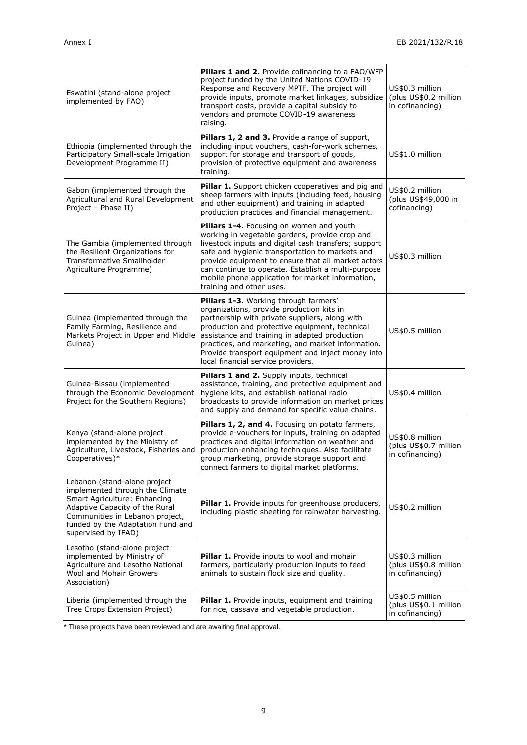| Eswatini (stand-alone project<br>implemented by FAO)                                                                                                                                                                             | <b>Pillars 1 and 2.</b> Provide cofinancing to a FAO/WFP<br>project funded by the United Nations COVID-19<br>Response and Recovery MPTF. The project will<br>provide inputs, promote market linkages, subsidize<br>transport costs, provide a capital subsidy to<br>vendors and promote COVID-19 awareness<br>raising.                                                                            | US\$0.3 million<br>(plus US\$0.2 million<br>in cofinancing) |
|----------------------------------------------------------------------------------------------------------------------------------------------------------------------------------------------------------------------------------|---------------------------------------------------------------------------------------------------------------------------------------------------------------------------------------------------------------------------------------------------------------------------------------------------------------------------------------------------------------------------------------------------|-------------------------------------------------------------|
| Ethiopia (implemented through the<br>Participatory Small-scale Irrigation<br>Development Programme II)                                                                                                                           | Pillars 1, 2 and 3. Provide a range of support,<br>including input vouchers, cash-for-work schemes,<br>support for storage and transport of goods,<br>provision of protective equipment and awareness<br>training.                                                                                                                                                                                | US\$1.0 million                                             |
| Gabon (implemented through the<br>Agricultural and Rural Development<br>Project - Phase II)                                                                                                                                      | Pillar 1. Support chicken cooperatives and pig and<br>sheep farmers with inputs (including feed, housing<br>and other equipment) and training in adapted<br>production practices and financial management.                                                                                                                                                                                        | US\$0.2 million<br>(plus US\$49,000 in<br>cofinancing)      |
| The Gambia (implemented through<br>the Resilient Organizations for<br>Transformative Smallholder<br>Agriculture Programme)                                                                                                       | Pillars 1-4. Focusing on women and youth<br>working in vegetable gardens, provide crop and<br>livestock inputs and digital cash transfers; support<br>safe and hygienic transportation to markets and<br>provide equipment to ensure that all market actors<br>can continue to operate. Establish a multi-purpose<br>mobile phone application for market information,<br>training and other uses. | US\$0.3 million                                             |
| Guinea (implemented through the<br>Family Farming, Resilience and<br>Markets Project in Upper and Middle<br>Guinea)                                                                                                              | Pillars 1-3. Working through farmers'<br>organizations, provide production kits in<br>partnership with private suppliers, along with<br>production and protective equipment, technical<br>assistance and training in adapted production<br>practices, and marketing, and market information.<br>Provide transport equipment and inject money into<br>local financial service providers.           | US\$0.5 million                                             |
| Guinea-Bissau (implemented<br>through the Economic Development<br>Project for the Southern Regions)                                                                                                                              | Pillars 1 and 2. Supply inputs, technical<br>assistance, training, and protective equipment and<br>hygiene kits, and establish national radio<br>broadcasts to provide information on market prices<br>and supply and demand for specific value chains.                                                                                                                                           | US\$0.4 million                                             |
| Kenya (stand-alone project<br>implemented by the Ministry of<br>Agriculture, Livestock, Fisheries and<br>Cooperatives)*                                                                                                          | Pillars 1, 2, and 4. Focusing on potato farmers,<br>provide e-vouchers for inputs, training on adapted<br>practices and digital information on weather and<br>production-enhancing techniques. Also facilitate<br>group marketing, provide storage support and<br>connect farmers to digital market platforms.                                                                                    | US\$0.8 million<br>(plus US\$0.7 million<br>in cofinancing) |
| Lebanon (stand-alone project<br>implemented through the Climate<br>Smart Agriculture: Enhancing<br>Adaptive Capacity of the Rural<br>Communities in Lebanon project,<br>funded by the Adaptation Fund and<br>supervised by IFAD) | Pillar 1. Provide inputs for greenhouse producers,<br>including plastic sheeting for rainwater harvesting.                                                                                                                                                                                                                                                                                        | US\$0.2 million                                             |
| Lesotho (stand-alone project<br>implemented by Ministry of<br>Agriculture and Lesotho National<br>Wool and Mohair Growers<br>Association)                                                                                        | <b>Pillar 1.</b> Provide inputs to wool and mohair<br>farmers, particularly production inputs to feed<br>animals to sustain flock size and quality.                                                                                                                                                                                                                                               | US\$0.3 million<br>(plus US\$0.8 million<br>in cofinancing) |
| Liberia (implemented through the<br>Tree Crops Extension Project)                                                                                                                                                                | Pillar 1. Provide inputs, equipment and training<br>for rice, cassava and vegetable production.                                                                                                                                                                                                                                                                                                   | US\$0.5 million<br>(plus US\$0.1 million<br>in cofinancing) |

\* These projects have been reviewed and are awaiting final approval.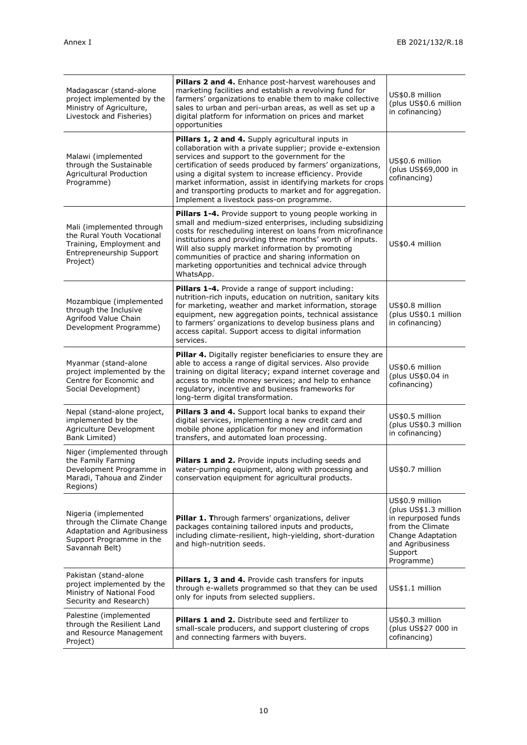| Madagascar (stand-alone<br>project implemented by the<br>Ministry of Agriculture,<br>Livestock and Fisheries)                      | Pillars 2 and 4. Enhance post-harvest warehouses and<br>marketing facilities and establish a revolving fund for<br>farmers' organizations to enable them to make collective<br>sales to urban and peri-urban areas, as well as set up a<br>digital platform for information on prices and market<br>opportunities                                                                                                                                                | US\$0.8 million<br>(plus US\$0.6 million<br>in cofinancing)                                                                                           |
|------------------------------------------------------------------------------------------------------------------------------------|------------------------------------------------------------------------------------------------------------------------------------------------------------------------------------------------------------------------------------------------------------------------------------------------------------------------------------------------------------------------------------------------------------------------------------------------------------------|-------------------------------------------------------------------------------------------------------------------------------------------------------|
| Malawi (implemented<br>through the Sustainable<br><b>Agricultural Production</b><br>Programme)                                     | Pillars 1, 2 and 4. Supply agricultural inputs in<br>collaboration with a private supplier; provide e-extension<br>services and support to the government for the<br>certification of seeds produced by farmers' organizations,<br>using a digital system to increase efficiency. Provide<br>market information, assist in identifying markets for crops<br>and transporting products to market and for aggregation.<br>Implement a livestock pass-on programme. | US\$0.6 million<br>(plus US\$69,000 in<br>cofinancing)                                                                                                |
| Mali (implemented through<br>the Rural Youth Vocational<br>Training, Employment and<br><b>Entrepreneurship Support</b><br>Project) | <b>Pillars 1-4.</b> Provide support to young people working in<br>small and medium-sized enterprises, including subsidizing<br>costs for rescheduling interest on loans from microfinance<br>institutions and providing three months' worth of inputs.<br>Will also supply market information by promoting<br>communities of practice and sharing information on<br>marketing opportunities and technical advice through<br>WhatsApp.                            | US\$0.4 million                                                                                                                                       |
| Mozambique (implemented<br>through the Inclusive<br>Agrifood Value Chain<br>Development Programme)                                 | Pillars 1-4. Provide a range of support including:<br>nutrition-rich inputs, education on nutrition, sanitary kits<br>for marketing, weather and market information, storage<br>equipment, new aggregation points, technical assistance<br>to farmers' organizations to develop business plans and<br>access capital. Support access to digital information<br>services.                                                                                         | US\$0.8 million<br>(plus US\$0.1 million<br>in cofinancing)                                                                                           |
| Myanmar (stand-alone<br>project implemented by the<br>Centre for Economic and<br>Social Development)                               | <b>Pillar 4.</b> Digitally register beneficiaries to ensure they are<br>able to access a range of digital services. Also provide<br>training on digital literacy; expand internet coverage and<br>access to mobile money services; and help to enhance<br>regulatory, incentive and business frameworks for<br>long-term digital transformation.                                                                                                                 | US\$0.6 million<br>(plus US\$0.04 in<br>cofinancing)                                                                                                  |
| Nepal (stand-alone project,<br>implemented by the<br>Agriculture Development<br>Bank Limited)                                      | <b>Pillars 3 and 4.</b> Support local banks to expand their<br>digital services, implementing a new credit card and<br>mobile phone application for money and information<br>transfers, and automated loan processing.                                                                                                                                                                                                                                           | US\$0.5 million<br>(plus US\$0.3 million<br>in cofinancing)                                                                                           |
| Niger (implemented through<br>the Family Farming<br>Development Programme in<br>Maradi, Tahoua and Zinder<br>Regions)              | <b>Pillars 1 and 2.</b> Provide inputs including seeds and<br>water-pumping equipment, along with processing and<br>conservation equipment for agricultural products.                                                                                                                                                                                                                                                                                            | US\$0.7 million                                                                                                                                       |
| Nigeria (implemented<br>through the Climate Change<br>Adaptation and Agribusiness<br>Support Programme in the<br>Savannah Belt)    | Pillar 1. Through farmers' organizations, deliver<br>packages containing tailored inputs and products,<br>including climate-resilient, high-yielding, short-duration<br>and high-nutrition seeds.                                                                                                                                                                                                                                                                | US\$0.9 million<br>(plus US\$1.3 million<br>in repurposed funds<br>from the Climate<br>Change Adaptation<br>and Agribusiness<br>Support<br>Programme) |
| Pakistan (stand-alone<br>project implemented by the<br>Ministry of National Food<br>Security and Research)                         | Pillars 1, 3 and 4. Provide cash transfers for inputs<br>through e-wallets programmed so that they can be used<br>only for inputs from selected suppliers.                                                                                                                                                                                                                                                                                                       | US\$1.1 million                                                                                                                                       |
| Palestine (implemented<br>through the Resilient Land<br>and Resource Management<br>Project)                                        | Pillars 1 and 2. Distribute seed and fertilizer to<br>small-scale producers, and support clustering of crops<br>and connecting farmers with buyers.                                                                                                                                                                                                                                                                                                              | US\$0.3 million<br>(plus US\$27 000 in<br>cofinancing)                                                                                                |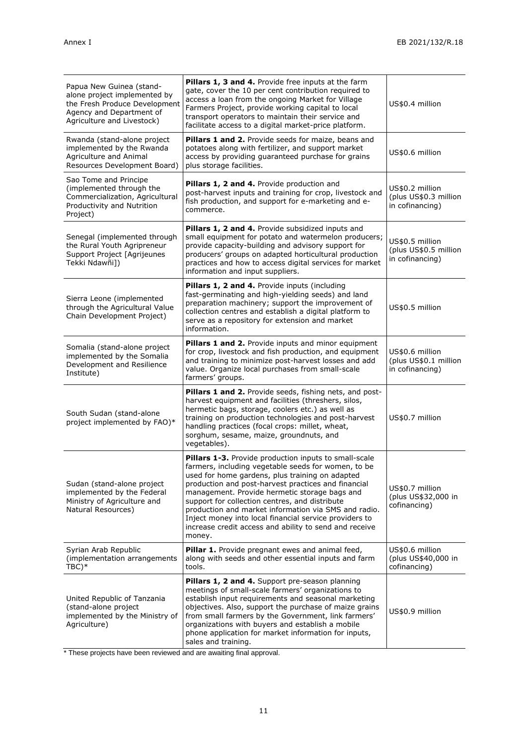| Papua New Guinea (stand-<br>alone project implemented by<br>the Fresh Produce Development<br>Agency and Department of<br>Agriculture and Livestock) | Pillars 1, 3 and 4. Provide free inputs at the farm<br>gate, cover the 10 per cent contribution required to<br>access a loan from the ongoing Market for Village<br>Farmers Project, provide working capital to local<br>transport operators to maintain their service and<br>facilitate access to a digital market-price platform.                                                                                                                                                                             | US\$0.4 million                                             |
|-----------------------------------------------------------------------------------------------------------------------------------------------------|-----------------------------------------------------------------------------------------------------------------------------------------------------------------------------------------------------------------------------------------------------------------------------------------------------------------------------------------------------------------------------------------------------------------------------------------------------------------------------------------------------------------|-------------------------------------------------------------|
| Rwanda (stand-alone project<br>implemented by the Rwanda<br>Agriculture and Animal<br>Resources Development Board)                                  | Pillars 1 and 2. Provide seeds for maize, beans and<br>potatoes along with fertilizer, and support market<br>access by providing guaranteed purchase for grains<br>plus storage facilities.                                                                                                                                                                                                                                                                                                                     | US\$0.6 million                                             |
| Sao Tome and Principe<br>(implemented through the<br>Commercialization, Agricultural<br>Productivity and Nutrition<br>Project)                      | Pillars 1, 2 and 4. Provide production and<br>post-harvest inputs and training for crop, livestock and<br>fish production, and support for e-marketing and e-<br>commerce.                                                                                                                                                                                                                                                                                                                                      | US\$0.2 million<br>(plus US\$0.3 million<br>in cofinancing) |
| Senegal (implemented through<br>the Rural Youth Agripreneur<br>Support Project [Agrijeunes<br>Tekki Ndawñi])                                        | Pillars 1, 2 and 4. Provide subsidized inputs and<br>small equipment for potato and watermelon producers;<br>provide capacity-building and advisory support for<br>producers' groups on adapted horticultural production<br>practices and how to access digital services for market<br>information and input suppliers.                                                                                                                                                                                         | US\$0.5 million<br>(plus US\$0.5 million<br>in cofinancing) |
| Sierra Leone (implemented<br>through the Agricultural Value<br>Chain Development Project)                                                           | Pillars 1, 2 and 4. Provide inputs (including<br>fast-germinating and high-yielding seeds) and land<br>preparation machinery; support the improvement of<br>collection centres and establish a digital platform to<br>serve as a repository for extension and market<br>information.                                                                                                                                                                                                                            | US\$0.5 million                                             |
| Somalia (stand-alone project<br>implemented by the Somalia<br>Development and Resilience<br>Institute)                                              | Pillars 1 and 2. Provide inputs and minor equipment<br>for crop, livestock and fish production, and equipment<br>and training to minimize post-harvest losses and add<br>value. Organize local purchases from small-scale<br>farmers' groups.                                                                                                                                                                                                                                                                   | US\$0.6 million<br>(plus US\$0.1 million<br>in cofinancing) |
| South Sudan (stand-alone<br>project implemented by FAO)*                                                                                            | Pillars 1 and 2. Provide seeds, fishing nets, and post-<br>harvest equipment and facilities (threshers, silos,<br>hermetic bags, storage, coolers etc.) as well as<br>training on production technologies and post-harvest<br>handling practices (focal crops: millet, wheat,<br>sorghum, sesame, maize, groundnuts, and<br>vegetables).                                                                                                                                                                        | US\$0.7 million                                             |
| Sudan (stand-alone project<br>implemented by the Federal<br>Ministry of Agriculture and<br>Natural Resources)                                       | Pillars 1-3. Provide production inputs to small-scale<br>farmers, including vegetable seeds for women, to be<br>used for home gardens, plus training on adapted<br>production and post-harvest practices and financial<br>management. Provide hermetic storage bags and<br>support for collection centres, and distribute<br>production and market information via SMS and radio.<br>Inject money into local financial service providers to<br>increase credit access and ability to send and receive<br>money. | US\$0.7 million<br>(plus US\$32,000 in<br>cofinancing)      |
| Syrian Arab Republic<br>(implementation arrangements)<br>$TBC)*$                                                                                    | Pillar 1. Provide pregnant ewes and animal feed,<br>along with seeds and other essential inputs and farm<br>tools.                                                                                                                                                                                                                                                                                                                                                                                              | US\$0.6 million<br>(plus US\$40,000 in<br>cofinancing)      |
| United Republic of Tanzania<br>(stand-alone project<br>implemented by the Ministry of<br>Agriculture)                                               | Pillars 1, 2 and 4. Support pre-season planning<br>meetings of small-scale farmers' organizations to<br>establish input requirements and seasonal marketing<br>objectives. Also, support the purchase of maize grains<br>from small farmers by the Government, link farmers'<br>organizations with buyers and establish a mobile<br>phone application for market information for inputs,<br>sales and training.                                                                                                 | US\$0.9 million                                             |

\* These projects have been reviewed and are awaiting final approval.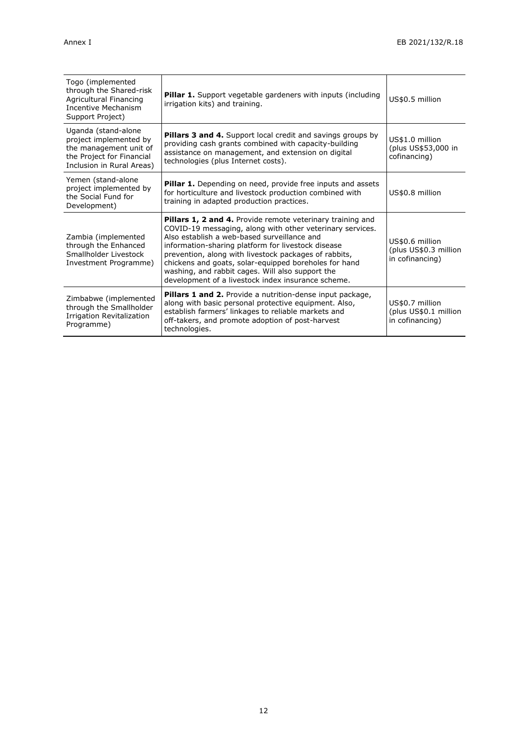| Togo (implemented<br>through the Shared-risk<br>Agricultural Financing<br><b>Incentive Mechanism</b><br>Support Project)          | <b>Pillar 1.</b> Support vegetable gardeners with inputs (including<br>irrigation kits) and training.                                                                                                                                                                                                                                                                                                                                                           | US\$0.5 million                                             |
|-----------------------------------------------------------------------------------------------------------------------------------|-----------------------------------------------------------------------------------------------------------------------------------------------------------------------------------------------------------------------------------------------------------------------------------------------------------------------------------------------------------------------------------------------------------------------------------------------------------------|-------------------------------------------------------------|
| Uganda (stand-alone<br>project implemented by<br>the management unit of<br>the Project for Financial<br>Inclusion in Rural Areas) | <b>Pillars 3 and 4.</b> Support local credit and savings groups by<br>providing cash grants combined with capacity-building<br>assistance on management, and extension on digital<br>technologies (plus Internet costs).                                                                                                                                                                                                                                        | US\$1.0 million<br>(plus US\$53,000 in<br>cofinancing)      |
| Yemen (stand-alone<br>project implemented by<br>the Social Fund for<br>Development)                                               | <b>Pillar 1.</b> Depending on need, provide free inputs and assets<br>for horticulture and livestock production combined with<br>training in adapted production practices.                                                                                                                                                                                                                                                                                      | US\$0.8 million                                             |
| Zambia (implemented<br>through the Enhanced<br>Smallholder Livestock<br>Investment Programme)                                     | <b>Pillars 1, 2 and 4.</b> Provide remote veterinary training and<br>COVID-19 messaging, along with other veterinary services.<br>Also establish a web-based surveillance and<br>information-sharing platform for livestock disease<br>prevention, along with livestock packages of rabbits,<br>chickens and goats, solar-equipped boreholes for hand<br>washing, and rabbit cages. Will also support the<br>development of a livestock index insurance scheme. | US\$0.6 million<br>(plus US\$0.3 million<br>in cofinancing) |
| Zimbabwe (implemented<br>through the Smallholder<br>Irrigation Revitalization<br>Programme)                                       | Pillars 1 and 2. Provide a nutrition-dense input package,<br>along with basic personal protective equipment. Also,<br>establish farmers' linkages to reliable markets and<br>off-takers, and promote adoption of post-harvest<br>technologies.                                                                                                                                                                                                                  | US\$0.7 million<br>(plus US\$0.1 million<br>in cofinancing) |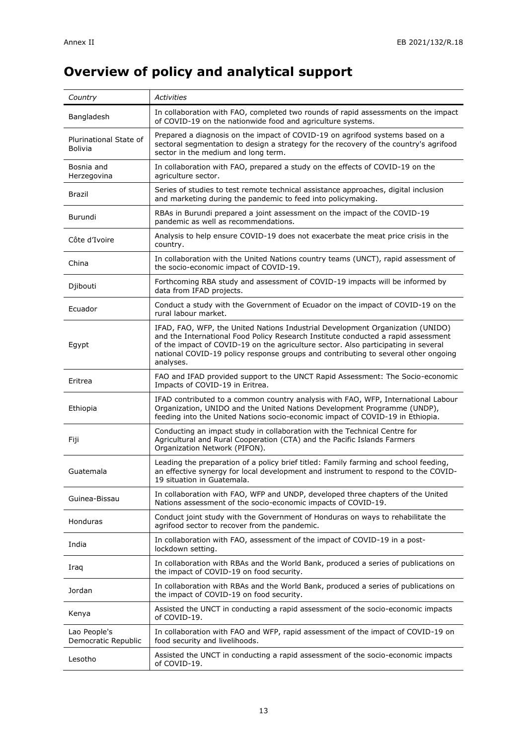# **Overview of policy and analytical support**

| Country                                  | <b>Activities</b>                                                                                                                                                                                                                                                                                                                                            |
|------------------------------------------|--------------------------------------------------------------------------------------------------------------------------------------------------------------------------------------------------------------------------------------------------------------------------------------------------------------------------------------------------------------|
| Bangladesh                               | In collaboration with FAO, completed two rounds of rapid assessments on the impact<br>of COVID-19 on the nationwide food and agriculture systems.                                                                                                                                                                                                            |
| Plurinational State of<br><b>Bolivia</b> | Prepared a diagnosis on the impact of COVID-19 on agrifood systems based on a<br>sectoral segmentation to design a strategy for the recovery of the country's agrifood<br>sector in the medium and long term.                                                                                                                                                |
| Bosnia and<br>Herzegovina                | In collaboration with FAO, prepared a study on the effects of COVID-19 on the<br>agriculture sector.                                                                                                                                                                                                                                                         |
| Brazil                                   | Series of studies to test remote technical assistance approaches, digital inclusion<br>and marketing during the pandemic to feed into policymaking.                                                                                                                                                                                                          |
| Burundi                                  | RBAs in Burundi prepared a joint assessment on the impact of the COVID-19<br>pandemic as well as recommendations.                                                                                                                                                                                                                                            |
| Côte d'Ivoire                            | Analysis to help ensure COVID-19 does not exacerbate the meat price crisis in the<br>country.                                                                                                                                                                                                                                                                |
| China                                    | In collaboration with the United Nations country teams (UNCT), rapid assessment of<br>the socio-economic impact of COVID-19.                                                                                                                                                                                                                                 |
| Djibouti                                 | Forthcoming RBA study and assessment of COVID-19 impacts will be informed by<br>data from IFAD projects.                                                                                                                                                                                                                                                     |
| Ecuador                                  | Conduct a study with the Government of Ecuador on the impact of COVID-19 on the<br>rural labour market.                                                                                                                                                                                                                                                      |
| Egypt                                    | IFAD, FAO, WFP, the United Nations Industrial Development Organization (UNIDO)<br>and the International Food Policy Research Institute conducted a rapid assessment<br>of the impact of COVID-19 on the agriculture sector. Also participating in several<br>national COVID-19 policy response groups and contributing to several other ongoing<br>analyses. |
| Eritrea                                  | FAO and IFAD provided support to the UNCT Rapid Assessment: The Socio-economic<br>Impacts of COVID-19 in Eritrea.                                                                                                                                                                                                                                            |
| Ethiopia                                 | IFAD contributed to a common country analysis with FAO, WFP, International Labour<br>Organization, UNIDO and the United Nations Development Programme (UNDP),<br>feeding into the United Nations socio-economic impact of COVID-19 in Ethiopia.                                                                                                              |
| Fiji                                     | Conducting an impact study in collaboration with the Technical Centre for<br>Agricultural and Rural Cooperation (CTA) and the Pacific Islands Farmers<br>Organization Network (PIFON).                                                                                                                                                                       |
| Guatemala                                | Leading the preparation of a policy brief titled: Family farming and school feeding,<br>an effective synergy for local development and instrument to respond to the COVID-<br>19 situation in Guatemala.                                                                                                                                                     |
| Guinea-Bissau                            | In collaboration with FAO, WFP and UNDP, developed three chapters of the United<br>Nations assessment of the socio-economic impacts of COVID-19.                                                                                                                                                                                                             |
| <b>Honduras</b>                          | Conduct joint study with the Government of Honduras on ways to rehabilitate the<br>agrifood sector to recover from the pandemic.                                                                                                                                                                                                                             |
| India                                    | In collaboration with FAO, assessment of the impact of COVID-19 in a post-<br>lockdown setting.                                                                                                                                                                                                                                                              |
| Iraq                                     | In collaboration with RBAs and the World Bank, produced a series of publications on<br>the impact of COVID-19 on food security.                                                                                                                                                                                                                              |
| Jordan                                   | In collaboration with RBAs and the World Bank, produced a series of publications on<br>the impact of COVID-19 on food security.                                                                                                                                                                                                                              |
| Kenya                                    | Assisted the UNCT in conducting a rapid assessment of the socio-economic impacts<br>of COVID-19.                                                                                                                                                                                                                                                             |
| Lao People's<br>Democratic Republic      | In collaboration with FAO and WFP, rapid assessment of the impact of COVID-19 on<br>food security and livelihoods.                                                                                                                                                                                                                                           |
| Lesotho                                  | Assisted the UNCT in conducting a rapid assessment of the socio-economic impacts<br>of COVID-19.                                                                                                                                                                                                                                                             |